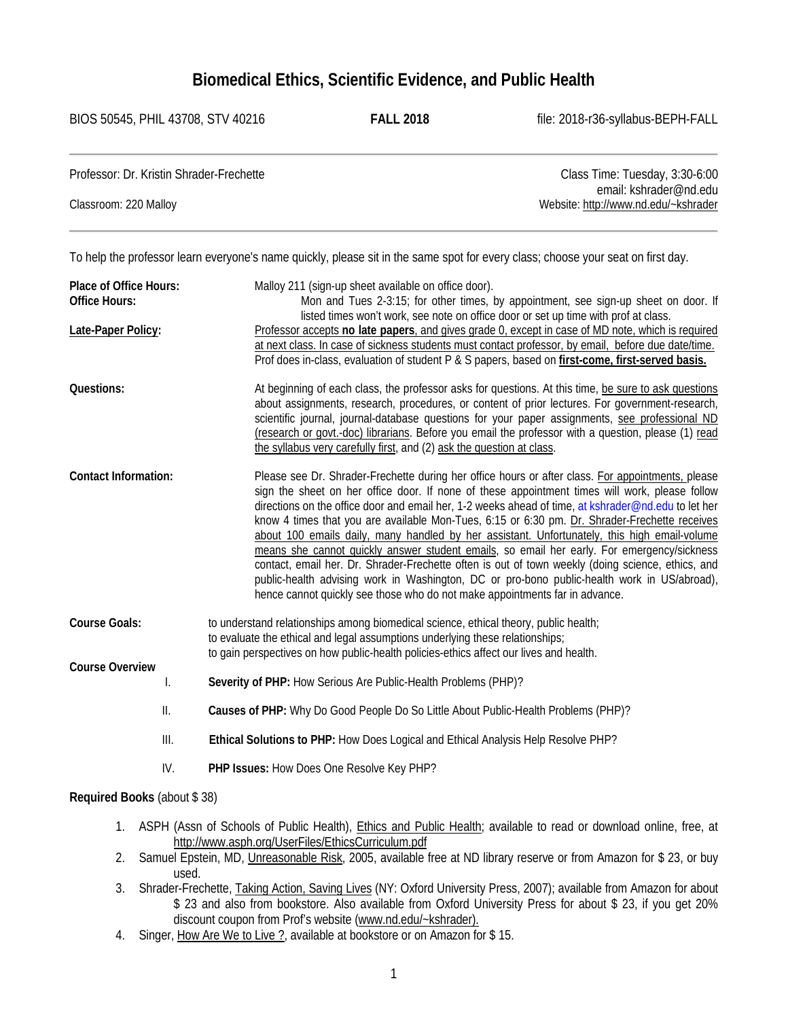# **Biomedical Ethics, Scientific Evidence, and Public Health**

BIOS 50545, PHIL 43708, STV 40216 **FALL 2018** file: 2018-r36-syllabus-BEPH-FALL

| Professor: Dr. Kristin Shrader-Frechette | Class Time: Tuesday, 3:30-6:00       |
|------------------------------------------|--------------------------------------|
|                                          | email: kshrader@nd.edu               |
| Classroom: 220 Malloy                    | Website: http://www.nd.edu/~kshrader |

To help the professor learn everyone's name quickly, please sit in the same spot for every class; choose your seat on first day.

| <b>Place of Office Hours:</b> | Malloy 211 (sign-up sheet available on office door).                                |                                                                                                                                                                                               |  |
|-------------------------------|-------------------------------------------------------------------------------------|-----------------------------------------------------------------------------------------------------------------------------------------------------------------------------------------------|--|
| <b>Office Hours:</b>          | Mon and Tues 2-3:15; for other times, by appointment, see sign-up sheet on door. If |                                                                                                                                                                                               |  |
|                               |                                                                                     | listed times won't work, see note on office door or set up time with prof at class.                                                                                                           |  |
| Late-Paper Policy:            |                                                                                     | Professor accepts no late papers, and gives grade 0, except in case of MD note, which is required                                                                                             |  |
|                               |                                                                                     | at next class. In case of sickness students must contact professor, by email, before due date/time.                                                                                           |  |
|                               |                                                                                     | Prof does in-class, evaluation of student P & S papers, based on first-come, first-served basis.                                                                                              |  |
| Questions:                    |                                                                                     | At beginning of each class, the professor asks for questions. At this time, be sure to ask questions                                                                                          |  |
|                               |                                                                                     | about assignments, research, procedures, or content of prior lectures. For government-research,                                                                                               |  |
|                               |                                                                                     | scientific journal, journal-database questions for your paper assignments, see professional ND                                                                                                |  |
|                               |                                                                                     | (research or govt.-doc) librarians. Before you email the professor with a question, please (1) read                                                                                           |  |
|                               |                                                                                     | the syllabus very carefully first, and (2) ask the question at class.                                                                                                                         |  |
| <b>Contact Information:</b>   |                                                                                     | Please see Dr. Shrader-Frechette during her office hours or after class. For appointments, please                                                                                             |  |
|                               |                                                                                     | sign the sheet on her office door. If none of these appointment times will work, please follow                                                                                                |  |
|                               |                                                                                     | directions on the office door and email her, 1-2 weeks ahead of time, at kshrader@nd.edu to let her                                                                                           |  |
|                               |                                                                                     | know 4 times that you are available Mon-Tues, 6:15 or 6:30 pm. Dr. Shrader-Frechette receives<br>about 100 emails daily, many handled by her assistant. Unfortunately, this high email-volume |  |
|                               |                                                                                     | means she cannot quickly answer student emails, so email her early. For emergency/sickness                                                                                                    |  |
|                               |                                                                                     | contact, email her. Dr. Shrader-Frechette often is out of town weekly (doing science, ethics, and                                                                                             |  |
|                               |                                                                                     | public-health advising work in Washington, DC or pro-bono public-health work in US/abroad),                                                                                                   |  |
|                               |                                                                                     | hence cannot quickly see those who do not make appointments far in advance.                                                                                                                   |  |
| <b>Course Goals:</b>          |                                                                                     | to understand relationships among biomedical science, ethical theory, public health;                                                                                                          |  |
|                               |                                                                                     | to evaluate the ethical and legal assumptions underlying these relationships;                                                                                                                 |  |
|                               |                                                                                     | to gain perspectives on how public-health policies-ethics affect our lives and health.                                                                                                        |  |
| <b>Course Overview</b>        |                                                                                     |                                                                                                                                                                                               |  |
|                               | I.                                                                                  | Severity of PHP: How Serious Are Public-Health Problems (PHP)?                                                                                                                                |  |
|                               | Ш.                                                                                  | Causes of PHP: Why Do Good People Do So Little About Public-Health Problems (PHP)?                                                                                                            |  |
| III.                          |                                                                                     | Ethical Solutions to PHP: How Does Logical and Ethical Analysis Help Resolve PHP?                                                                                                             |  |
|                               | IV.                                                                                 | PHP Issues: How Does One Resolve Key PHP?                                                                                                                                                     |  |
|                               |                                                                                     |                                                                                                                                                                                               |  |

### **Required Books** (about \$ 38)

- 1. ASPH (Assn of Schools of Public Health), Ethics and Public Health; available to read or download online, free, at [http://www.asph.org/UserFiles/EthicsCurriculum.pdf](http://www.asph.org/UserFiles/EthicsCurriculum.pdf%202)
- [2.](http://www.asph.org/UserFiles/EthicsCurriculum.pdf%202) Samuel Epstein, MD, Unreasonable Risk, 2005, available free at ND library reserve or from Amazon for \$ 23, or buy used.
- 3. Shrader-Frechette, Taking Action, Saving Lives (NY: Oxford University Press, 2007); available from Amazon for about \$ 23 and also from bookstore. Also available from Oxford University Press for about \$ 23, if you get 20% discount coupon from Prof's website [\(www.nd.edu/~kshrader\).](http://www.nd.edu/%7Ekshrader).)
- 4. Singer, How Are We to Live ?, available at bookstore or on Amazon for \$15.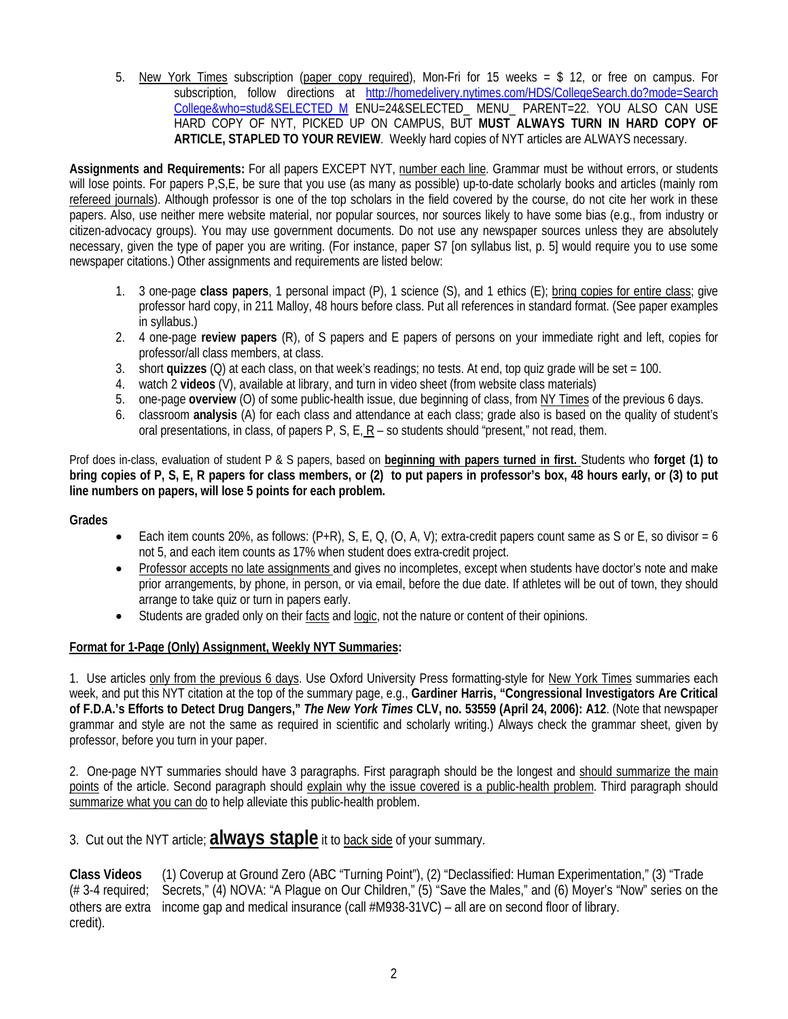5. New York Times subscription (paper copy required), Mon-Fri for 15 weeks = \$ 12, or free on campus. For subscription, follow directions at [http://homedelivery.nytimes.com/HDS/CollegeSearch.do?mode=Search](http://homedelivery.nytimes.com/HDS/CollegeSearch.do?mode=Search%20College&who=stud&SELECTED_M)  [College&who=stud&SELECTED\\_M](http://homedelivery.nytimes.com/HDS/CollegeSearch.do?mode=Search%20College&who=stud&SELECTED_M)\_ENU=24&SELECTED\_MENU\_PARENT=22. YOU ALSO CAN USE HARD COPY OF NYT, PICKED UP ON CAMPUS, BUT **MUST ALWAYS TURN IN HARD COPY OF ARTICLE, STAPLED TO YOUR REVIEW**. Weekly hard copies of NYT articles are ALWAYS necessary.

**Assignments and Requirements:** For all papers EXCEPT NYT, number each line. Grammar must be without errors, or students will lose points. For papers P,S,E, be sure that you use (as many as possible) up-to-date scholarly books and articles (mainly rom refereed journals). Although professor is one of the top scholars in the field covered by the course, do not cite her work in these papers. Also, use neither mere website material, nor popular sources, nor sources likely to have some bias (e.g., from industry or citizen-advocacy groups). You may use government documents. Do not use any newspaper sources unless they are absolutely necessary, given the type of paper you are writing. (For instance, paper S7 [on syllabus list, p. 5] would require you to use some newspaper citations.) Other assignments and requirements are listed below:

- 1. 3 one-page **class papers**, 1 personal impact (P), 1 science (S), and 1 ethics (E); bring copies for entire class; give professor hard copy, in 211 Malloy, 48 hours before class. Put all references in standard format. (See paper examples in syllabus.)
- 2. 4 one-page **review papers** (R), of S papers and E papers of persons on your immediate right and left, copies for professor/all class members, at class.
- 3. short **quizzes** (Q) at each class, on that week's readings; no tests. At end, top quiz grade will be set = 100.
- 4. watch 2 **videos** (V), available at library, and turn in video sheet (from website class materials)
- 5. one-page **overview** (O) of some public-health issue, due beginning of class, from NY Times of the previous 6 days.
- 6. classroom **analysis** (A) for each class and attendance at each class; grade also is based on the quality of student's oral presentations, in class, of papers P, S, E, R – so students should "present," not read, them.

Prof does in-class, evaluation of student P & S papers, based on **beginning with papers turned in first.** Students who **forget (1) to bring copies of P, S, E, R papers for class members, or (2) to put papers in professor's box, 48 hours early, or (3) to put line numbers on papers, will lose 5 points for each problem.**

#### **Grades**

- Each item counts 20%, as follows:  $(P+R)$ , S, E, Q,  $(O, A, V)$ ; extra-credit papers count same as S or E, so divisor = 6 not 5, and each item counts as 17% when student does extra-credit project.
- Professor accepts no late assignments and gives no incompletes, except when students have doctor's note and make prior arrangements, by phone, in person, or via email, before the due date. If athletes will be out of town, they should arrange to take quiz or turn in papers early.
- Students are graded only on their facts and logic, not the nature or content of their opinions.

#### **Format for 1-Page (Only) Assignment, Weekly NYT Summaries:**

1. Use articles only from the previous 6 days. Use Oxford University Press formatting-style for New York Times summaries each week, and put this NYT citation at the top of the summary page, e.g., **Gardiner Harris, "Congressional Investigators Are Critical of F.D.A.'s Efforts to Detect Drug Dangers,"** *The New York Times* **CLV, no. 53559 (April 24, 2006): A12**. (Note that newspaper grammar and style are not the same as required in scientific and scholarly writing.) Always check the grammar sheet, given by professor, before you turn in your paper.

2. One-page NYT summaries should have 3 paragraphs. First paragraph should be the longest and should summarize the main points of the article. Second paragraph should explain why the issue covered is a public-health problem. Third paragraph should summarize what you can do to help alleviate this public-health problem.

3. Cut out the NYT article; **always staple** it to back side of your summary.

**Class Videos** (1) Coverup at Ground Zero (ABC "Turning Point"), (2) "Declassified: Human Experimentation," (3) "Trade (# 3-4 required; Secrets," (4) NOVA: "A Plague on Our Children," (5) "Save the Males," and (6) Moyer's "Now" series on the others are extra income gap and medical insurance (call #M938-31VC) – all are on second floor of library. credit).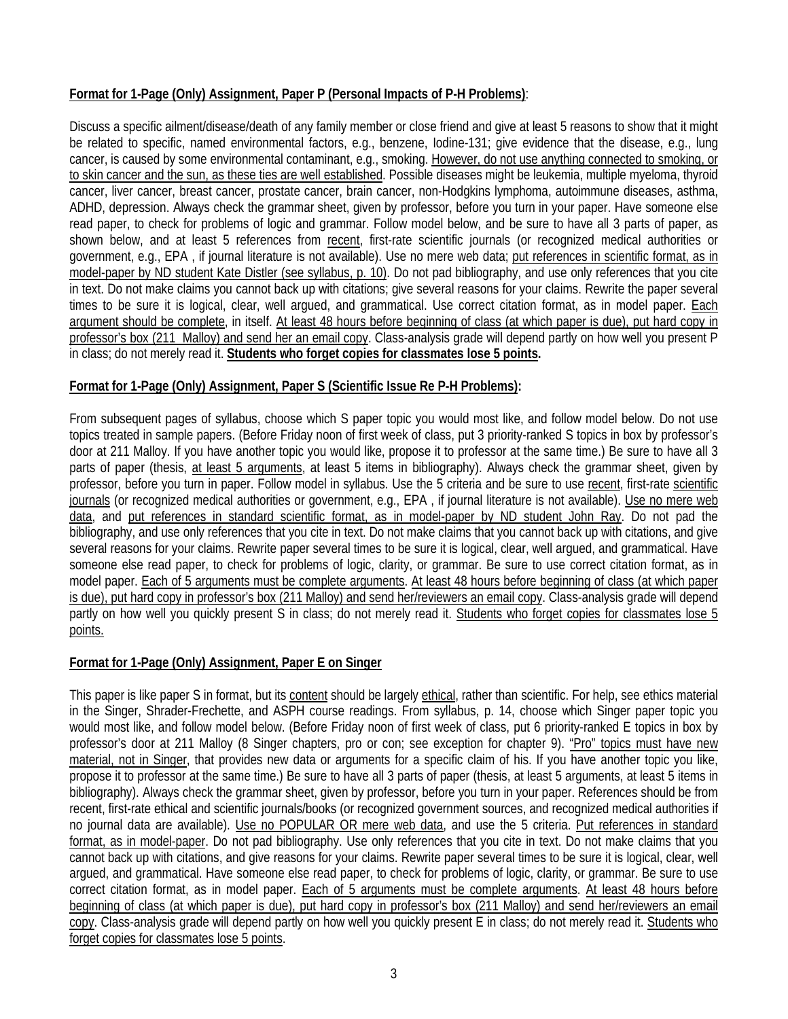# **Format for 1-Page (Only) Assignment, Paper P (Personal Impacts of P-H Problems)**:

Discuss a specific ailment/disease/death of any family member or close friend and give at least 5 reasons to show that it might be related to specific, named environmental factors, e.g., benzene, Iodine-131; give evidence that the disease, e.g., lung cancer, is caused by some environmental contaminant, e.g., smoking. However, do not use anything connected to smoking, or to skin cancer and the sun, as these ties are well established. Possible diseases might be leukemia, multiple myeloma, thyroid cancer, liver cancer, breast cancer, prostate cancer, brain cancer, non-Hodgkins lymphoma, autoimmune diseases, asthma, ADHD, depression. Always check the grammar sheet, given by professor, before you turn in your paper. Have someone else read paper, to check for problems of logic and grammar. Follow model below, and be sure to have all 3 parts of paper, as shown below, and at least 5 references from recent, first-rate scientific journals (or recognized medical authorities or government, e.g., EPA , if journal literature is not available). Use no mere web data; put references in scientific format, as in model-paper by ND student Kate Distler (see syllabus, p. 10). Do not pad bibliography, and use only references that you cite in text. Do not make claims you cannot back up with citations; give several reasons for your claims. Rewrite the paper several times to be sure it is logical, clear, well argued, and grammatical. Use correct citation format, as in model paper. Each argument should be complete, in itself. At least 48 hours before beginning of class (at which paper is due), put hard copy in professor's box (211 Malloy) and send her an email copy. Class-analysis grade will depend partly on how well you present P in class; do not merely read it. **Students who forget copies for classmates lose 5 points.**

# **Format for 1-Page (Only) Assignment, Paper S (Scientific Issue Re P-H Problems):**

From subsequent pages of syllabus, choose which S paper topic you would most like, and follow model below. Do not use topics treated in sample papers. (Before Friday noon of first week of class, put 3 priority-ranked S topics in box by professor's door at 211 Malloy. If you have another topic you would like, propose it to professor at the same time.) Be sure to have all 3 parts of paper (thesis, at least 5 arguments, at least 5 items in bibliography). Always check the grammar sheet, given by professor, before you turn in paper. Follow model in syllabus. Use the 5 criteria and be sure to use recent, first-rate scientific journals (or recognized medical authorities or government, e.g., EPA, if journal literature is not available). Use no mere web data, and put references in standard scientific format, as in model-paper by ND student John Ray. Do not pad the bibliography, and use only references that you cite in text. Do not make claims that you cannot back up with citations, and give several reasons for your claims. Rewrite paper several times to be sure it is logical, clear, well argued, and grammatical. Have someone else read paper, to check for problems of logic, clarity, or grammar. Be sure to use correct citation format, as in model paper. Each of 5 arguments must be complete arguments. At least 48 hours before beginning of class (at which paper is due), put hard copy in professor's box (211 Malloy) and send her/reviewers an email copy. Class-analysis grade will depend partly on how well you quickly present S in class; do not merely read it. Students who forget copies for classmates lose 5 points.

# **Format for 1-Page (Only) Assignment, Paper E on Singer**

This paper is like paper S in format, but its content should be largely ethical, rather than scientific. For help, see ethics material in the Singer, Shrader-Frechette, and ASPH course readings. From syllabus, p. 14, choose which Singer paper topic you would most like, and follow model below. (Before Friday noon of first week of class, put 6 priority-ranked E topics in box by professor's door at 211 Malloy (8 Singer chapters, pro or con; see exception for chapter 9). "Pro" topics must have new material, not in Singer, that provides new data or arguments for a specific claim of his. If you have another topic you like, propose it to professor at the same time.) Be sure to have all 3 parts of paper (thesis, at least 5 arguments, at least 5 items in bibliography). Always check the grammar sheet, given by professor, before you turn in your paper. References should be from recent, first-rate ethical and scientific journals/books (or recognized government sources, and recognized medical authorities if no journal data are available). Use no POPULAR OR mere web data, and use the 5 criteria. Put references in standard format, as in model-paper. Do not pad bibliography. Use only references that you cite in text. Do not make claims that you cannot back up with citations, and give reasons for your claims. Rewrite paper several times to be sure it is logical, clear, well argued, and grammatical. Have someone else read paper, to check for problems of logic, clarity, or grammar. Be sure to use correct citation format, as in model paper. Each of 5 arguments must be complete arguments. At least 48 hours before beginning of class (at which paper is due), put hard copy in professor's box (211 Malloy) and send her/reviewers an email copy. Class-analysis grade will depend partly on how well you quickly present E in class; do not merely read it. Students who forget copies for classmates lose 5 points.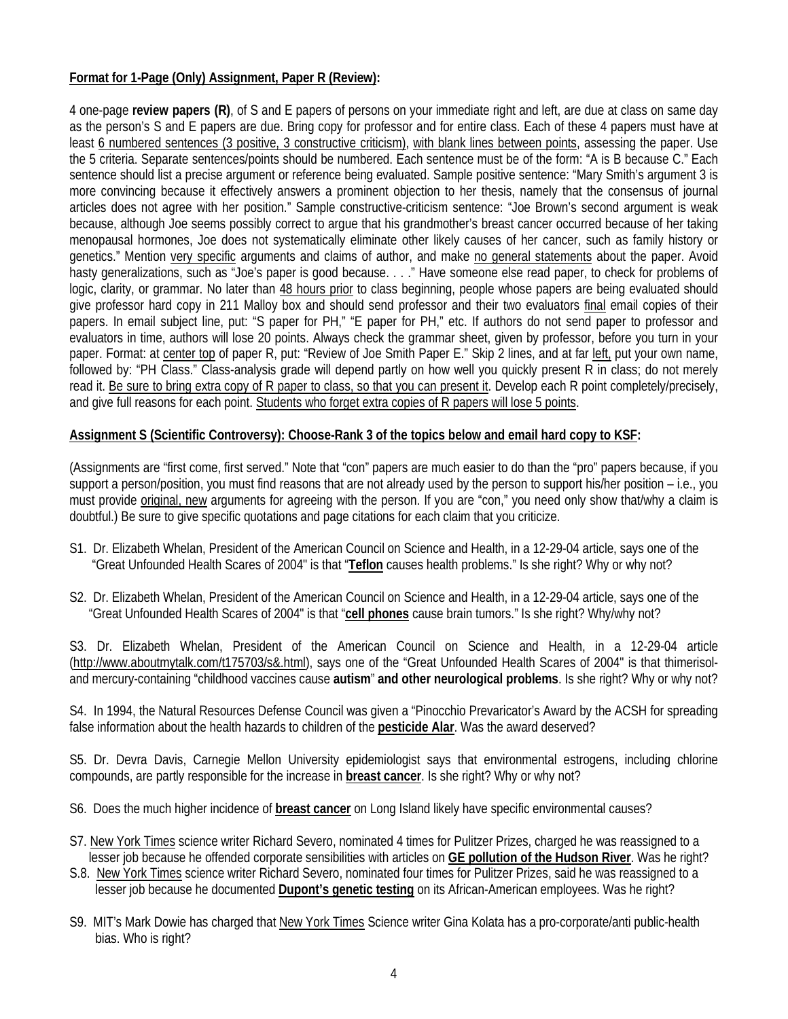## **Format for 1-Page (Only) Assignment, Paper R (Review):**

4 one-page **review papers (R)**, of S and E papers of persons on your immediate right and left, are due at class on same day as the person's S and E papers are due. Bring copy for professor and for entire class. Each of these 4 papers must have at least 6 numbered sentences (3 positive, 3 constructive criticism), with blank lines between points, assessing the paper. Use the 5 criteria. Separate sentences/points should be numbered. Each sentence must be of the form: "A is B because C." Each sentence should list a precise argument or reference being evaluated. Sample positive sentence: "Mary Smith's argument 3 is more convincing because it effectively answers a prominent objection to her thesis, namely that the consensus of journal articles does not agree with her position." Sample constructive-criticism sentence: "Joe Brown's second argument is weak because, although Joe seems possibly correct to argue that his grandmother's breast cancer occurred because of her taking menopausal hormones, Joe does not systematically eliminate other likely causes of her cancer, such as family history or genetics." Mention very specific arguments and claims of author, and make no general statements about the paper. Avoid hasty generalizations, such as "Joe's paper is good because. . . ." Have someone else read paper, to check for problems of logic, clarity, or grammar. No later than 48 hours prior to class beginning, people whose papers are being evaluated should give professor hard copy in 211 Malloy box and should send professor and their two evaluators final email copies of their papers. In email subject line, put: "S paper for PH," "E paper for PH," etc. If authors do not send paper to professor and evaluators in time, authors will lose 20 points. Always check the grammar sheet, given by professor, before you turn in your paper. Format: at center top of paper R, put: "Review of Joe Smith Paper E." Skip 2 lines, and at far left, put your own name, followed by: "PH Class." Class-analysis grade will depend partly on how well you quickly present R in class; do not merely read it. Be sure to bring extra copy of R paper to class, so that you can present it. Develop each R point completely/precisely, and give full reasons for each point. Students who forget extra copies of R papers will lose 5 points.

## **Assignment S (Scientific Controversy): Choose-Rank 3 of the topics below and email hard copy to KSF:**

(Assignments are "first come, first served." Note that "con" papers are much easier to do than the "pro" papers because, if you support a person/position, you must find reasons that are not already used by the person to support his/her position – i.e., you must provide original, new arguments for agreeing with the person. If you are "con," you need only show that/why a claim is doubtful.) Be sure to give specific quotations and page citations for each claim that you criticize.

- S1. Dr. Elizabeth Whelan, President of the American Council on Science and Health, in a 12-29-04 article, says one of the "Great Unfounded Health Scares of 2004" is that "**Teflon** causes health problems." Is she right? Why or why not?
- S2. Dr. Elizabeth Whelan, President of the American Council on Science and Health, in a 12-29-04 article, says one of the "Great Unfounded Health Scares of 2004" is that "**cell phones** cause brain tumors." Is she right? Why/why not?

S3. Dr. Elizabeth Whelan, President of the American Council on Science and Health, in a 12-29-04 article (http://www.aboutmytalk.com/t175703/s&.html), says one of the "Great Unfounded Health Scares of 2004" is that thimerisoland mercury-containing "childhood vaccines cause **autism**" **and other neurological problems**. Is she right? Why or why not?

S4. In 1994, the Natural Resources Defense Council was given a "Pinocchio Prevaricator's Award by the ACSH for spreading false information about the health hazards to children of the **pesticide Alar**. Was the award deserved?

S5. Dr. Devra Davis, Carnegie Mellon University epidemiologist says that environmental estrogens, including chlorine compounds, are partly responsible for the increase in **breast cancer**. Is she right? Why or why not?

- S6. Does the much higher incidence of **breast cancer** on Long Island likely have specific environmental causes?
- S7. New York Times science writer Richard Severo, nominated 4 times for Pulitzer Prizes, charged he was reassigned to a lesser job because he offended corporate sensibilities with articles on **GE pollution of the Hudson River**. Was he right?
- S.8. New York Times science writer Richard Severo, nominated four times for Pulitzer Prizes, said he was reassigned to a lesser job because he documented **Dupont's genetic testing** on its African-American employees. Was he right?
- S9. MIT's Mark Dowie has charged that New York Times Science writer Gina Kolata has a pro-corporate/anti public-health bias. Who is right?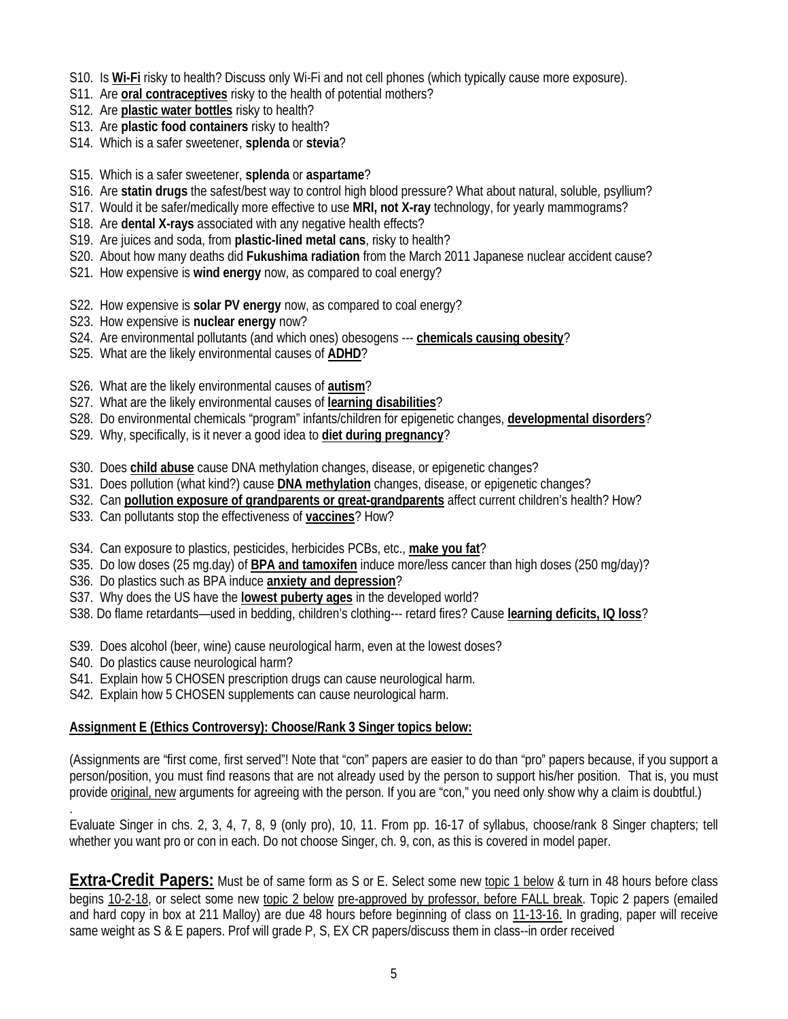- S10. Is **Wi-Fi** risky to health? Discuss only Wi-Fi and not cell phones (which typically cause more exposure).
- S11. Are **oral contraceptives** risky to the health of potential mothers?
- S12. Are **plastic water bottles** risky to health?
- S13. Are **plastic food containers** risky to health?
- S14. Which is a safer sweetener, **splenda** or **stevia**?
- S15. Which is a safer sweetener, **splenda** or **aspartame**?
- S16. Are **statin drugs** the safest/best way to control high blood pressure? What about natural, soluble, psyllium?
- S17. Would it be safer/medically more effective to use **MRI, not X-ray** technology, for yearly mammograms?
- S18. Are **dental X-rays** associated with any negative health effects?
- S19. Are juices and soda, from **plastic-lined metal cans**, risky to health?
- S20. About how many deaths did **Fukushima radiation** from the March 2011 Japanese nuclear accident cause?
- S21. How expensive is **wind energy** now, as compared to coal energy?
- S22. How expensive is **solar PV energy** now, as compared to coal energy?
- S23. How expensive is **nuclear energy** now?
- S24. Are environmental pollutants (and which ones) obesogens --- **chemicals causing obesity**?
- S25. What are the likely environmental causes of **ADHD**?
- S26. What are the likely environmental causes of **autism**?
- S27. What are the likely environmental causes of **learning disabilities**?
- S28. Do environmental chemicals "program" infants/children for epigenetic changes, **developmental disorders**?
- S29. Why, specifically, is it never a good idea to **diet during pregnancy**?
- S30. Does **child abuse** cause DNA methylation changes, disease, or epigenetic changes?
- S31. Does pollution (what kind?) cause **DNA methylation** changes, disease, or epigenetic changes?
- S32. Can **pollution exposure of grandparents or great-grandparents** affect current children's health? How?
- S33. Can pollutants stop the effectiveness of **vaccines**? How?
- S34. Can exposure to plastics, pesticides, herbicides PCBs, etc., **make you fat**?
- S35. Do low doses (25 mg.day) of **BPA and tamoxifen** induce more/less cancer than high doses (250 mg/day)?
- S36. Do plastics such as BPA induce **anxiety and depression**?
- S37. Why does the US have the **lowest puberty ages** in the developed world?
- S38. Do flame retardants—used in bedding, children's clothing--- retard fires? Cause **learning deficits, IQ loss**?
- S39. Does alcohol (beer, wine) cause neurological harm, even at the lowest doses?
- S40. Do plastics cause neurological harm?

.

- S41. Explain how 5 CHOSEN prescription drugs can cause neurological harm.
- S42. Explain how 5 CHOSEN supplements can cause neurological harm.

#### **Assignment E (Ethics Controversy): Choose/Rank 3 Singer topics below:**

(Assignments are "first come, first served"! Note that "con" papers are easier to do than "pro" papers because, if you support a person/position, you must find reasons that are not already used by the person to support his/her position. That is, you must provide original, new arguments for agreeing with the person. If you are "con," you need only show why a claim is doubtful.)

Evaluate Singer in chs. 2, 3, 4, 7, 8, 9 (only pro), 10, 11. From pp. 16-17 of syllabus, choose/rank 8 Singer chapters; tell whether you want pro or con in each. Do not choose Singer, ch. 9, con, as this is covered in model paper.

**Extra-Credit Papers:** Must be of same form as S or E. Select some new topic 1 below & turn in 48 hours before class begins 10-2-18, or select some new topic 2 below pre-approved by professor, before FALL break. Topic 2 papers (emailed and hard copy in box at 211 Malloy) are due 48 hours before beginning of class on 11-13-16. In grading, paper will receive same weight as S & E papers. Prof will grade P, S, EX CR papers/discuss them in class--in order received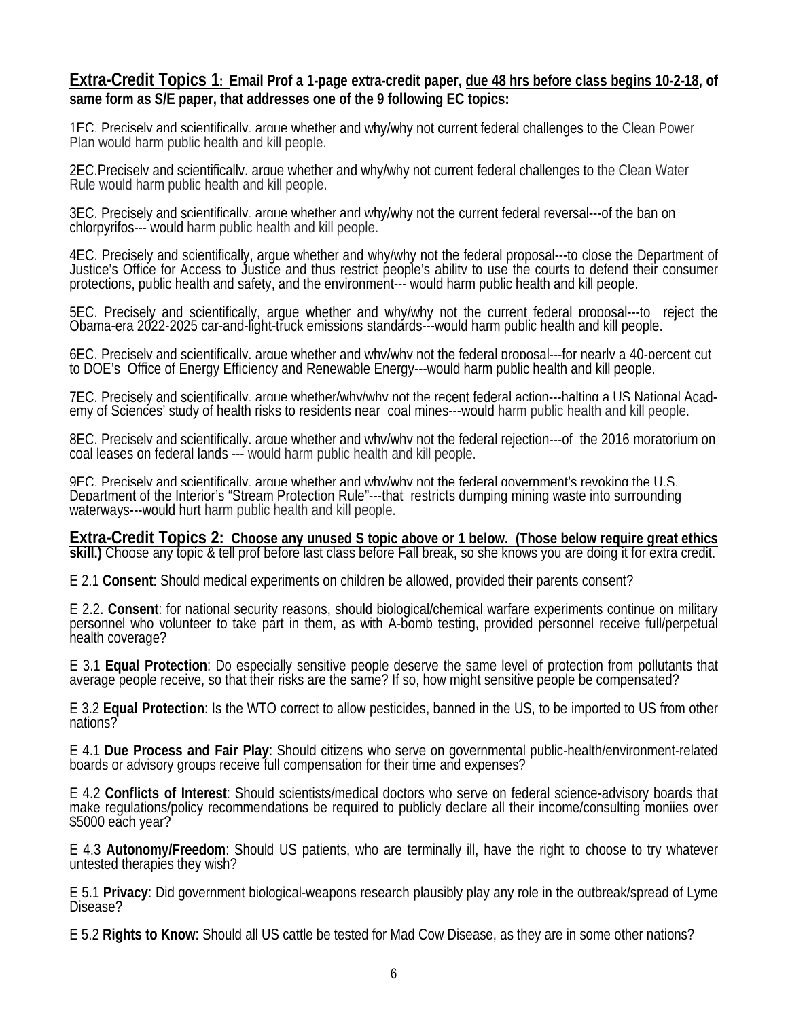# **Extra-Credit Topics 1: Email Prof a 1-page extra-credit paper, due 48 hrs before class begins 10-2-18, of same form as S/E paper, that addresses one of the 9 following EC topics:**

1EC. Precisely and scientifically, argue whether and why/why not current federal challenges to the Clean Power Plan would harm public health and kill people.

2EC.Precisely and scientifically, argue whether and why/why not current federal challenges to the Clean Water Rule would harm public health and kill people.

3EC. Precisely and scientifically, argue whether and why/why not the current federal reversal---of the ban on chlorpyrifos--- would harm public health and kill people.

4EC. Precisely and scientifically, argue whether and why/why not the federal proposal—to close the Department of<br>Justice's Office for Access to Justice and thus restrict people's ability to use the courts to defend their c

5EC. Precisely and scientifically, argue whether and why/why not the current federal proposal---to reject the<br>Obama-era 2022-2025 car-and-light-truck emissions standards---would harm public health and kill people.

6EC. Precisely and scientifically, argue whether and why/why not the federal proposal---for nearly a 40-percent cut<br>to DOE's Office of Energy Efficiency and Renewable Energy---would harm public health [and kill people.](https://energy.gov/sites/prod/files/2018/02/f48/Energy%20Department%20FY%202019%20Budget%20Fact%20Sheet.pdf)

7EC. Precisely and scientifically, arque whether/why/why not the recent federal action---halting a US National Acad-<br>emy of Sciences' study of health risks to residents near coal mines---would harm public health and kill p

8EC. Precisely and scientifically, argue whether and why/why not the federal rejection---of the 2016 moratorium on coal leases on federal lands --- would harm public health and kill people.

9EC. Preciselv and scientifically. arque whether and why/why not the federal government's revoking the U.S.<br>Department of the Interior's "Stream Protection Rule"---that restricts dumping mining waste into surrounding water

**Extra-Credit Topics 2: Choose any unused S topic above or 1 below. (Those below require great ethics skill.)** Choose any topic & tell prof before last class before Fall break, so she knows you are doing it for extra credit.

E 2.1 **Consent**: Should medical experiments on children be allowed, provided their parents consent?

E 2.2. Consent: for national security reasons, should biological/chemical warfare experiments continue on military personnel who volunteer to take part in them, as with A-bomb testing, provided personnel receive full/perpe

E 3.1 **Equal Protection**: Do especially sensitive people deserve the same level of protection from pollutants that average people receive, so that their risks are the same? If so, how might sensitive people be compensated?

E 3.2 **Equal Protection**: Is the WTO correct to allow pesticides, banned in the US, to be imported to US from other nations?

E 4.1 **Due Process and Fair Play**: Should citizens who serve on governmental public-health/environment-related boards or advisory groups receive full compensation for their time and expenses?

E 4.2 **Conflicts of Interest**: Should scientists/medical doctors who serve on federal science-advisory boards that make regulations/policy recommendations be required to publicly declare all their income/consulting moniies over \$5000 each year?

E 4.3 **Autonomy/Freedom**: Should US patients, who are terminally ill, have the right to choose to try whatever untested therapies they wish?

E 5.1 Privacy: Did government biological-weapons research plausibly play any role in the outbreak/spread of Lyme<br>Disease?

E 5.2 **Rights to Know**: Should all US cattle be tested for Mad Cow Disease, as they are in some other nations?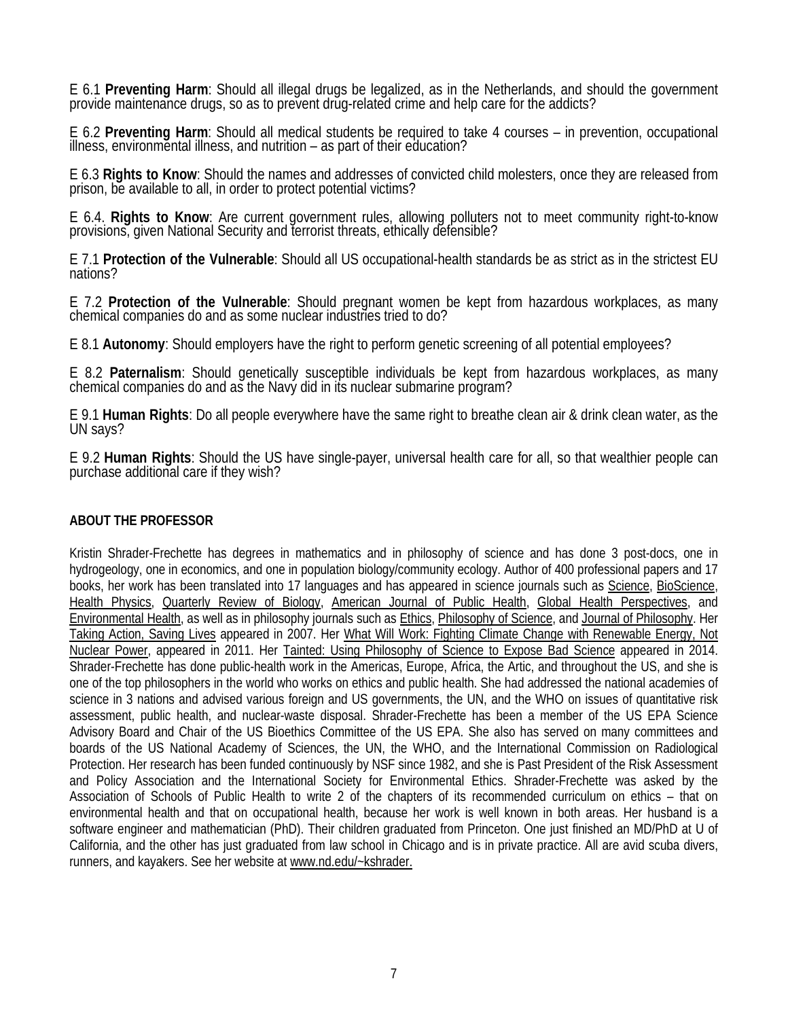E 6.1 **Preventing Harm**: Should all illegal drugs be legalized, as in the Netherlands, and should the government provide maintenance drugs, so as to prevent drug-related crime and help care for the addicts?

E 6.2 **Preventing Harm**: Should all medical students be required to take 4 courses – in prevention, occupational illness, environmental illness, and nutrition – as part of their education?

E 6.3 **Rights to Know**: Should the names and addresses of convicted child molesters, once they are released from prison, be available to all, in order to protect potential victims?

E 6.4. **Rights to Know**: Are current government rules, allowing polluters not to meet community right-to-know provisions, given National Security and terrorist threats, ethically defensible?

E 7.1 **Protection of the Vulnerable**: Should all US occupational-health standards be as strict as in the strictest EU nations?

E 7.2 **Protection of the Vulnerable**: Should pregnant women be kept from hazardous workplaces, as many chemical companies do and as some nuclear industries tried to do?

E 8.1 **Autonomy**: Should employers have the right to perform genetic screening of all potential employees?

E 8.2 **Paternalism**: Should genetically susceptible individuals be kept from hazardous workplaces, as many chemical companies do and as the Navy did in its nuclear submarine program?

E 9.1 **Human Rights**: Do all people everywhere have the same right to breathe clean air & drink clean water, as the UN says?

E 9.2 **Human Rights**: Should the US have single-payer, universal health care for all, so that wealthier people can purchase additional care if they wish?

#### **ABOUT THE PROFESSOR**

Kristin Shrader-Frechette has degrees in mathematics and in philosophy of science and has done 3 post-docs, one in hydrogeology, one in economics, and one in population biology/community ecology. Author of 400 professional papers and 17 books, her work has been translated into 17 languages and has appeared in science journals such as Science, BioScience, Health Physics, Quarterly Review of Biology, American Journal of Public Health, Global Health Perspectives, and Environmental Health, as well as in philosophy journals such as Ethics, Philosophy of Science, and Journal of Philosophy. Her Taking Action, Saving Lives appeared in 2007. Her What Will Work: Fighting Climate Change with Renewable Energy, Not Nuclear Power, appeared in 2011. Her Tainted: Using Philosophy of Science to Expose Bad Science appeared in 2014. Shrader-Frechette has done public-health work in the Americas, Europe, Africa, the Artic, and throughout the US, and she is one of the top philosophers in the world who works on ethics and public health. She had addressed the national academies of science in 3 nations and advised various foreign and US governments, the UN, and the WHO on issues of quantitative risk assessment, public health, and nuclear-waste disposal. Shrader-Frechette has been a member of the US EPA Science Advisory Board and Chair of the US Bioethics Committee of the US EPA. She also has served on many committees and boards of the US National Academy of Sciences, the UN, the WHO, and the International Commission on Radiological Protection. Her research has been funded continuously by NSF since 1982, and she is Past President of the Risk Assessment and Policy Association and the International Society for Environmental Ethics. Shrader-Frechette was asked by the Association of Schools of Public Health to write 2 of the chapters of its recommended curriculum on ethics – that on environmental health and that on occupational health, because her work is well known in both areas. Her husband is a software engineer and mathematician (PhD). Their children graduated from Princeton. One just finished an MD/PhD at U of California, and the other has just graduated from law school in Chicago and is in private practice. All are avid scuba divers, runners, and kayakers. See her website a[t www.nd.edu/~kshrader.](http://www.nd.edu/%7Ekshrader.)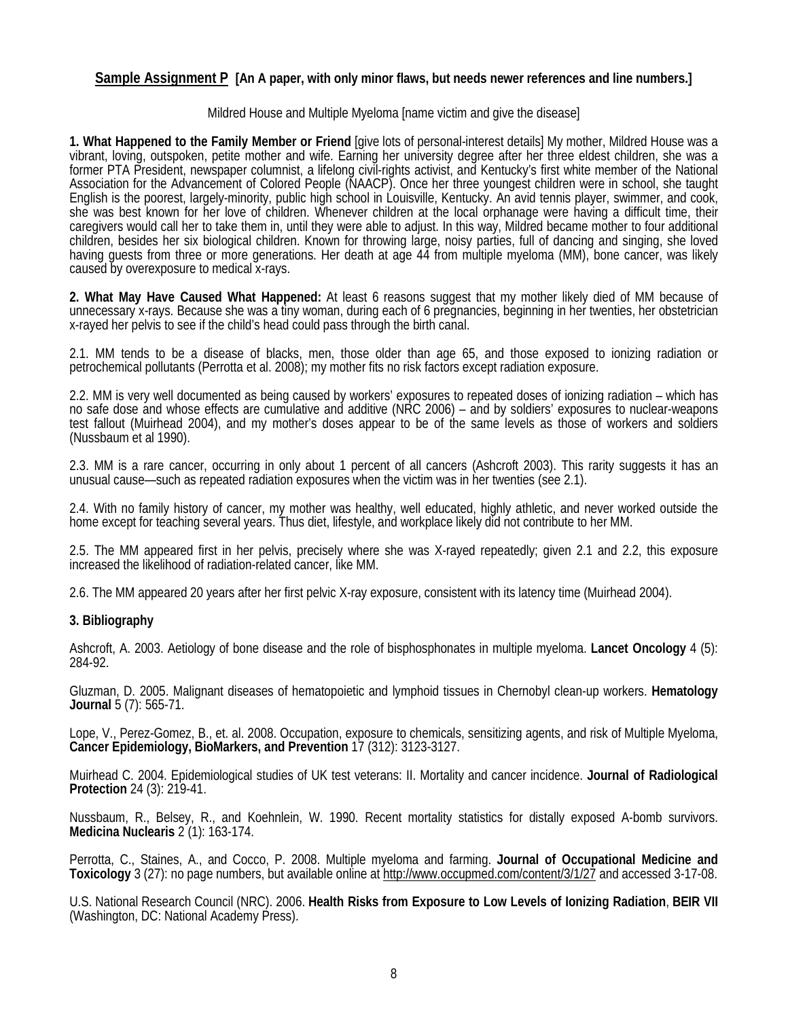### **Sample Assignment P [An A paper, with only minor flaws, but needs newer references and line numbers.]**

#### Mildred House and Multiple Myeloma [name victim and give the disease]

**1. What Happened to the Family Member or Friend** [give lots of personal-interest details] My mother, Mildred House was a vibrant, loving, outspoken, petite mother and wife. Earning her university degree after her three eldest children, she was a former PTA President, newspaper columnist, a lifelong civil-rights activist, and Kentucky's first white member of the National Association for the Advancement of Colored People (NAACP). Once her three youngest children were in school, she taught English is the poorest, largely-minority, public high school in Louisville, Kentucky. An avid tennis player, swimmer, and cook, she was best known for her love of children. Whenever children at the local orphanage were having a difficult time, their caregivers would call her to take them in, until they were able to adjust. In this way, Mildred became mother to four additional children, besides her six biological children. Known for throwing large, noisy parties, full of dancing and singing, she loved having guests from three or more generations. Her death at age 44 from multiple myeloma (MM), bone cancer, was likely caused by overexposure to medical x-rays.

**2. What May Have Caused What Happened:** At least 6 reasons suggest that my mother likely died of MM because of unnecessary x-rays. Because she was a tiny woman, during each of 6 pregnancies, beginning in her twenties, her obstetrician x-rayed her pelvis to see if the child's head could pass through the birth canal.

2.1. MM tends to be a disease of blacks, men, those older than age 65, and those exposed to ionizing radiation or petrochemical pollutants (Perrotta et al. 2008); my mother fits no risk factors except radiation exposure.

2.2. MM is very well documented as being caused by workers' exposures to repeated doses of ionizing radiation – which has no safe dose and whose effects are cumulative and additive (NRC 2006) – and by soldiers' exposures to nuclear-weapons test fallout (Muirhead 2004), and my mother's doses appear to be of the same levels as those of workers and soldiers (Nussbaum et al 1990).

2.3. MM is a rare cancer, occurring in only about 1 percent of all cancers (Ashcroft 2003). This rarity suggests it has an unusual cause—such as repeated radiation exposures when the victim was in her twenties (see 2.1).

2.4. With no family history of cancer, my mother was healthy, well educated, highly athletic, and never worked outside the home except for teaching several years. Thus diet, lifestyle, and workplace likely did not contribute to her MM.

2.5. The MM appeared first in her pelvis, precisely where she was X-rayed repeatedly; given 2.1 and 2.2, this exposure increased the likelihood of radiation-related cancer, like MM.

2.6. The MM appeared 20 years after her first pelvic X-ray exposure, consistent with its latency time (Muirhead 2004).

#### **3. Bibliography**

Ashcroft, A. 2003. Aetiology of bone disease and the role of bisphosphonates in multiple myeloma. **Lancet Oncology** 4 (5): 284-92.

Gluzman, D. 2005. Malignant diseases of hematopoietic and lymphoid tissues in Chernobyl clean-up workers. **Hematology Journal** 5 (7): 565-71.

Lope, V., Perez-Gomez, B., et. al. 2008. Occupation, exposure to chemicals, sensitizing agents, and risk of Multiple Myeloma, **Cancer Epidemiology, BioMarkers, and Prevention** 17 (312): 3123-3127.

Muirhead C. 2004. Epidemiological studies of UK test veterans: II. Mortality and cancer incidence. **Journal of Radiological Protection** 24 (3): 219-41.

Nussbaum, R., Belsey, R., and Koehnlein, W. 1990. Recent mortality statistics for distally exposed A-bomb survivors. **Medicina Nuclearis** 2 (1): 163-174.

Perrotta, C., Staines, A., and Cocco, P. 2008. Multiple myeloma and farming. **Journal of Occupational Medicine and Toxicology** 3 (27): no page numbers, but available online a[t http://www.occupmed.com/content/3/1/27](http://www.occupmed.com/content/3/1/27) and accessed 3-17-08.

U.S. National Research Council (NRC). 2006. **Health Risks from Exposure to Low Levels of Ionizing Radiation**, **BEIR VII** (Washington, DC: National Academy Press).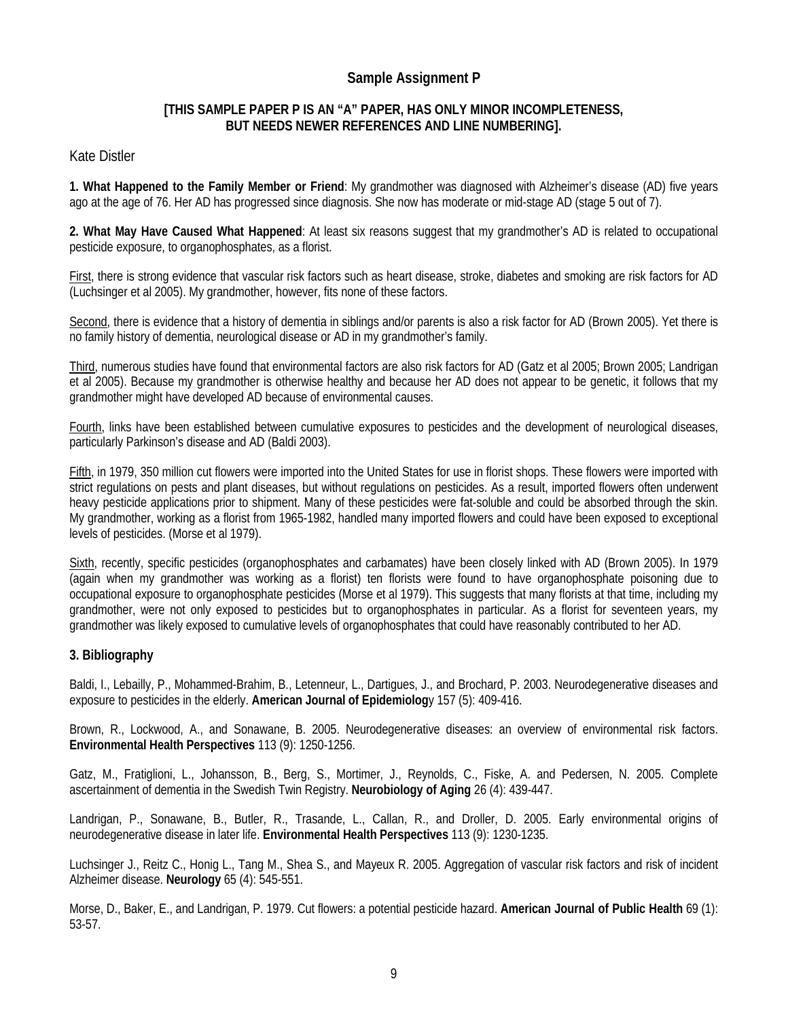## **Sample Assignment P**

### **[THIS SAMPLE PAPER P IS AN "A" PAPER, HAS ONLY MINOR INCOMPLETENESS, BUT NEEDS NEWER REFERENCES AND LINE NUMBERING].**

### Kate Distler

**1. What Happened to the Family Member or Friend**: My grandmother was diagnosed with Alzheimer's disease (AD) five years ago at the age of 76. Her AD has progressed since diagnosis. She now has moderate or mid-stage AD (stage 5 out of 7).

**2. What May Have Caused What Happened**: At least six reasons suggest that my grandmother's AD is related to occupational pesticide exposure, to organophosphates, as a florist.

First, there is strong evidence that vascular risk factors such as heart disease, stroke, diabetes and smoking are risk factors for AD (Luchsinger et al 2005). My grandmother, however, fits none of these factors.

Second, there is evidence that a history of dementia in siblings and/or parents is also a risk factor for AD (Brown 2005). Yet there is no family history of dementia, neurological disease or AD in my grandmother's family.

Third, numerous studies have found that environmental factors are also risk factors for AD (Gatz et al 2005; Brown 2005; Landrigan et al 2005). Because my grandmother is otherwise healthy and because her AD does not appear to be genetic, it follows that my grandmother might have developed AD because of environmental causes.

Fourth, links have been established between cumulative exposures to pesticides and the development of neurological diseases, particularly Parkinson's disease and AD (Baldi 2003).

Fifth, in 1979, 350 million cut flowers were imported into the United States for use in florist shops. These flowers were imported with strict regulations on pests and plant diseases, but without regulations on pesticides. As a result, imported flowers often underwent heavy pesticide applications prior to shipment. Many of these pesticides were fat-soluble and could be absorbed through the skin. My grandmother, working as a florist from 1965-1982, handled many imported flowers and could have been exposed to exceptional levels of pesticides. (Morse et al 1979).

Sixth, recently, specific pesticides (organophosphates and carbamates) have been closely linked with AD (Brown 2005). In 1979 (again when my grandmother was working as a florist) ten florists were found to have organophosphate poisoning due to occupational exposure to organophosphate pesticides (Morse et al 1979). This suggests that many florists at that time, including my grandmother, were not only exposed to pesticides but to organophosphates in particular. As a florist for seventeen years, my grandmother was likely exposed to cumulative levels of organophosphates that could have reasonably contributed to her AD.

#### **3. Bibliography**

Baldi, I., Lebailly, P., Mohammed-Brahim, B., Letenneur, L., Dartigues, J., and Brochard, P. 2003. Neurodegenerative diseases and exposure to pesticides in the elderly. **American Journal of Epidemiolog**y 157 (5): 409-416.

Brown, R., Lockwood, A., and Sonawane, B. 2005. Neurodegenerative diseases: an overview of environmental risk factors. **Environmental Health Perspectives** 113 (9): 1250-1256.

Gatz, M., Fratiglioni, L., Johansson, B., Berg, S., Mortimer, J., Reynolds, C., Fiske, A. and Pedersen, N. 2005. Complete ascertainment of dementia in the Swedish Twin Registry. **Neurobiology of Aging** 26 (4): 439-447.

Landrigan, P., Sonawane, B., Butler, R., Trasande, L., Callan, R., and Droller, D. 2005. Early environmental origins of neurodegenerative disease in later life. **Environmental Health Perspectives** 113 (9): 1230-1235.

Luchsinger J., Reitz C., Honig L., Tang M., Shea S., and Mayeux R. 2005. Aggregation of vascular risk factors and risk of incident Alzheimer disease. **Neurology** 65 (4): 545-551.

Morse, D., Baker, E., and Landrigan, P. 1979. Cut flowers: a potential pesticide hazard. **American Journal of Public Health** 69 (1): 53-57.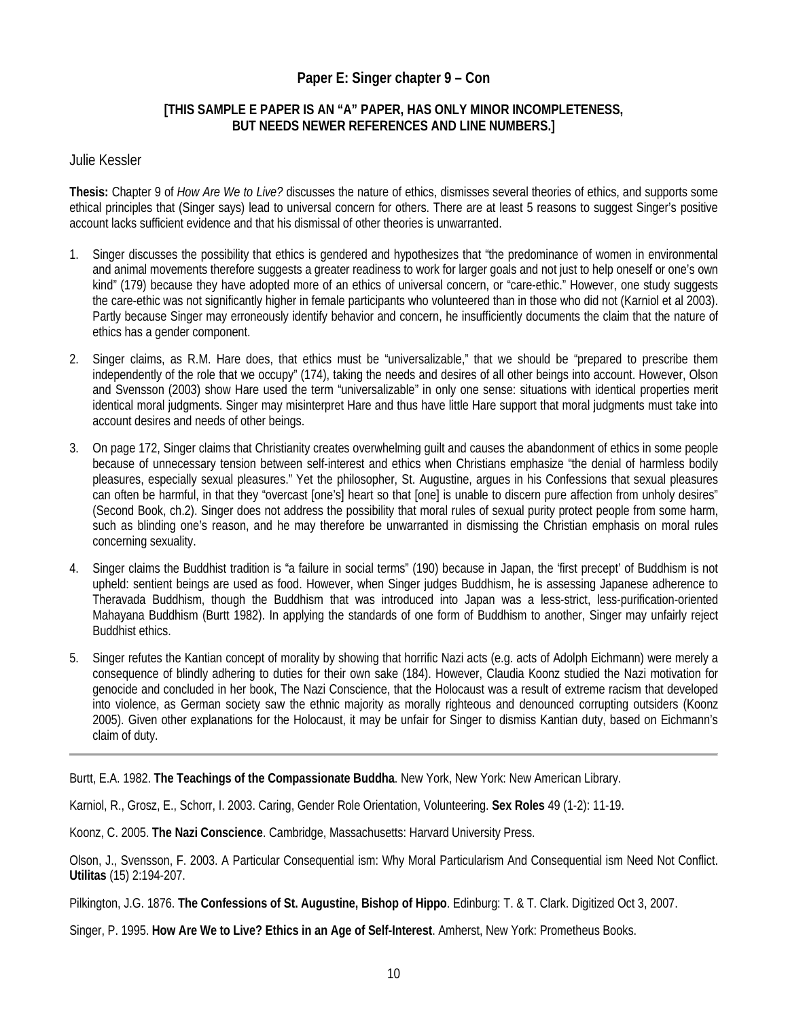# **Paper E: Singer chapter 9 – Con**

### **[THIS SAMPLE E PAPER IS AN "A" PAPER, HAS ONLY MINOR INCOMPLETENESS, BUT NEEDS NEWER REFERENCES AND LINE NUMBERS.]**

#### Julie Kessler

**Thesis:** Chapter 9 of *How Are We to Live?* discusses the nature of ethics, dismisses several theories of ethics, and supports some ethical principles that (Singer says) lead to universal concern for others. There are at least 5 reasons to suggest Singer's positive account lacks sufficient evidence and that his dismissal of other theories is unwarranted.

- 1. Singer discusses the possibility that ethics is gendered and hypothesizes that "the predominance of women in environmental and animal movements therefore suggests a greater readiness to work for larger goals and not just to help oneself or one's own kind" (179) because they have adopted more of an ethics of universal concern, or "care-ethic." However, one study suggests the care-ethic was not significantly higher in female participants who volunteered than in those who did not (Karniol et al 2003). Partly because Singer may erroneously identify behavior and concern, he insufficiently documents the claim that the nature of ethics has a gender component.
- 2. Singer claims, as R.M. Hare does, that ethics must be "universalizable," that we should be "prepared to prescribe them independently of the role that we occupy" (174), taking the needs and desires of all other beings into account. However, Olson and Svensson (2003) show Hare used the term "universalizable" in only one sense: situations with identical properties merit identical moral judgments. Singer may misinterpret Hare and thus have little Hare support that moral judgments must take into account desires and needs of other beings.
- 3. On page 172, Singer claims that Christianity creates overwhelming guilt and causes the abandonment of ethics in some people because of unnecessary tension between self-interest and ethics when Christians emphasize "the denial of harmless bodily pleasures, especially sexual pleasures." Yet the philosopher, St. Augustine, argues in his Confessions that sexual pleasures can often be harmful, in that they "overcast [one's] heart so that [one] is unable to discern pure affection from unholy desires" (Second Book, ch.2). Singer does not address the possibility that moral rules of sexual purity protect people from some harm, such as blinding one's reason, and he may therefore be unwarranted in dismissing the Christian emphasis on moral rules concerning sexuality.
- 4. Singer claims the Buddhist tradition is "a failure in social terms" (190) because in Japan, the 'first precept' of Buddhism is not upheld: sentient beings are used as food. However, when Singer judges Buddhism, he is assessing Japanese adherence to Theravada Buddhism, though the Buddhism that was introduced into Japan was a less-strict, less-purification-oriented Mahayana Buddhism (Burtt 1982). In applying the standards of one form of Buddhism to another, Singer may unfairly reject Buddhist ethics.
- 5. Singer refutes the Kantian concept of morality by showing that horrific Nazi acts (e.g. acts of Adolph Eichmann) were merely a consequence of blindly adhering to duties for their own sake (184). However, Claudia Koonz studied the Nazi motivation for genocide and concluded in her book, The Nazi Conscience, that the Holocaust was a result of extreme racism that developed into violence, as German society saw the ethnic majority as morally righteous and denounced corrupting outsiders (Koonz 2005). Given other explanations for the Holocaust, it may be unfair for Singer to dismiss Kantian duty, based on Eichmann's claim of duty.

Burtt, E.A. 1982. **The Teachings of the Compassionate Buddha**. New York, New York: New American Library.

Karniol, R., Grosz, E., Schorr, I. 2003. Caring, Gender Role Orientation, Volunteering. **Sex Roles** 49 (1-2): 11-19.

Koonz, C. 2005. **The Nazi Conscience**. Cambridge, Massachusetts: Harvard University Press.

Olson, J., Svensson, F. 2003. A Particular Consequential ism: Why Moral Particularism And Consequential ism Need Not Conflict. **Utilitas** (15) 2:194-207.

Pilkington, J.G. 1876. **The Confessions of St. Augustine, Bishop of Hippo**. Edinburg: T. & T. Clark. Digitized Oct 3, 2007.

Singer, P. 1995. **How Are We to Live? Ethics in an Age of Self-Interest**. Amherst, New York: Prometheus Books.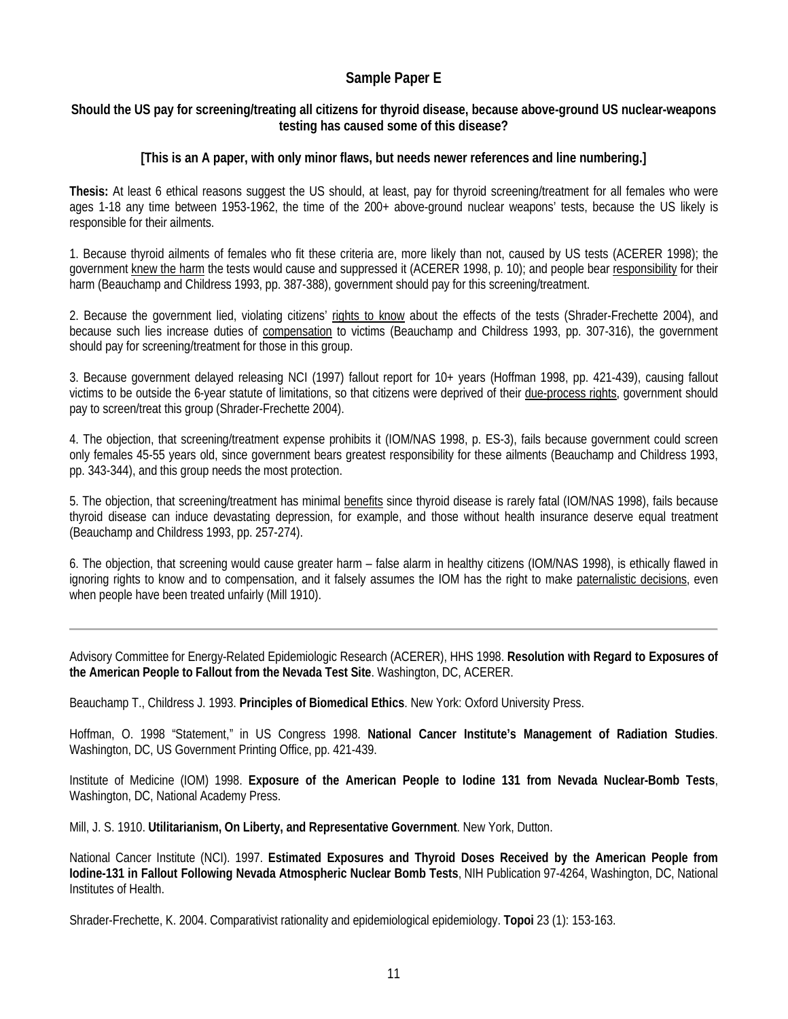# **Sample Paper E**

### **Should the US pay for screening/treating all citizens for thyroid disease, because above-ground US nuclear-weapons testing has caused some of this disease?**

### **[This is an A paper, with only minor flaws, but needs newer references and line numbering.]**

**Thesis:** At least 6 ethical reasons suggest the US should, at least, pay for thyroid screening/treatment for all females who were ages 1-18 any time between 1953-1962, the time of the 200+ above-ground nuclear weapons' tests, because the US likely is responsible for their ailments.

1. Because thyroid ailments of females who fit these criteria are, more likely than not, caused by US tests (ACERER 1998); the government knew the harm the tests would cause and suppressed it (ACERER 1998, p. 10); and people bear responsibility for their harm (Beauchamp and Childress 1993, pp. 387-388), government should pay for this screening/treatment.

2. Because the government lied, violating citizens' rights to know about the effects of the tests (Shrader-Frechette 2004), and because such lies increase duties of compensation to victims (Beauchamp and Childress 1993, pp. 307-316), the government should pay for screening/treatment for those in this group.

3. Because government delayed releasing NCI (1997) fallout report for 10+ years (Hoffman 1998, pp. 421-439), causing fallout victims to be outside the 6-year statute of limitations, so that citizens were deprived of their due-process rights, government should pay to screen/treat this group (Shrader-Frechette 2004).

4. The objection, that screening/treatment expense prohibits it (IOM/NAS 1998, p. ES-3), fails because government could screen only females 45-55 years old, since government bears greatest responsibility for these ailments (Beauchamp and Childress 1993, pp. 343-344), and this group needs the most protection.

5. The objection, that screening/treatment has minimal benefits since thyroid disease is rarely fatal (IOM/NAS 1998), fails because thyroid disease can induce devastating depression, for example, and those without health insurance deserve equal treatment (Beauchamp and Childress 1993, pp. 257-274).

6. The objection, that screening would cause greater harm – false alarm in healthy citizens (IOM/NAS 1998), is ethically flawed in ignoring rights to know and to compensation, and it falsely assumes the IOM has the right to make paternalistic decisions, even when people have been treated unfairly (Mill 1910).

Advisory Committee for Energy-Related Epidemiologic Research (ACERER), HHS 1998. **Resolution with Regard to Exposures of the American People to Fallout from the Nevada Test Site**. Washington, DC, ACERER.

Beauchamp T., Childress J. 1993. **Principles of Biomedical Ethics**. New York: Oxford University Press.

Hoffman, O. 1998 "Statement," in US Congress 1998. **National Cancer Institute's Management of Radiation Studies**. Washington, DC, US Government Printing Office, pp. 421-439.

Institute of Medicine (IOM) 1998. **Exposure of the American People to Iodine 131 from Nevada Nuclear-Bomb Tests**, Washington, DC, National Academy Press.

Mill, J. S. 1910. **Utilitarianism, On Liberty, and Representative Government**. New York, Dutton.

National Cancer Institute (NCI). 1997. **Estimated Exposures and Thyroid Doses Received by the American People from Iodine-131 in Fallout Following Nevada Atmospheric Nuclear Bomb Tests**, NIH Publication 97-4264, Washington, DC, National Institutes of Health.

Shrader-Frechette, K. 2004. Comparativist rationality and epidemiological epidemiology. **Topoi** 23 (1): 153-163.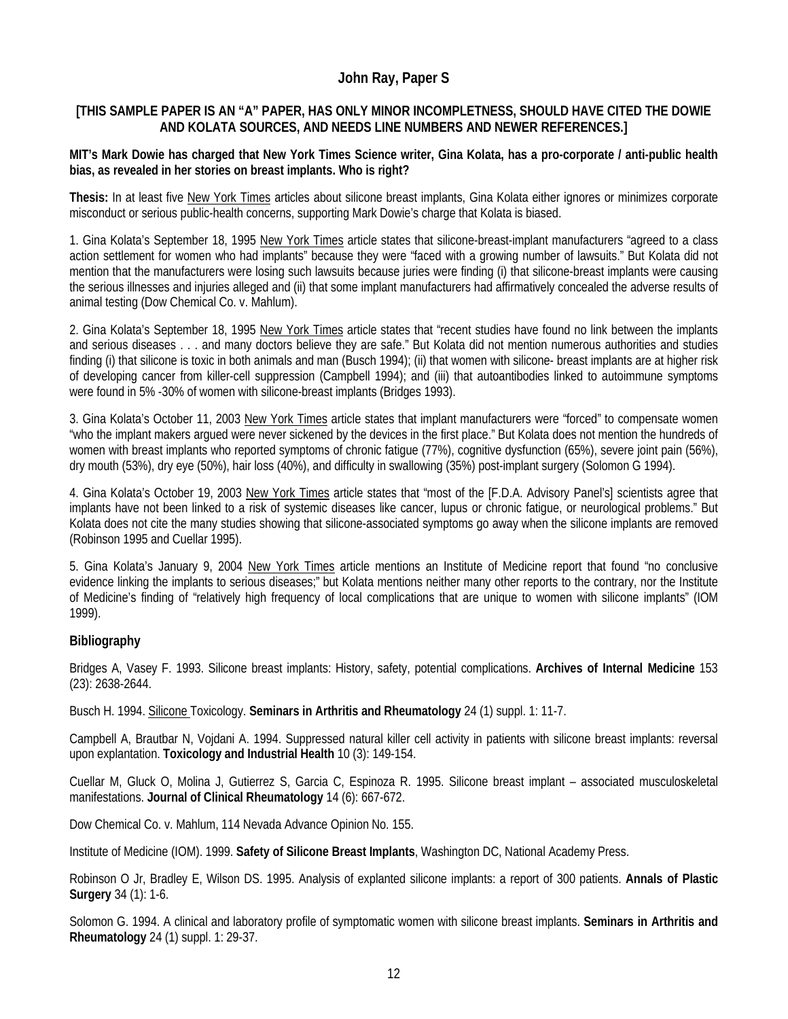# **John Ray, Paper S**

### **[THIS SAMPLE PAPER IS AN "A" PAPER, HAS ONLY MINOR INCOMPLETNESS, SHOULD HAVE CITED THE DOWIE AND KOLATA SOURCES, AND NEEDS LINE NUMBERS AND NEWER REFERENCES.]**

#### **MIT's Mark Dowie has charged that New York Times Science writer, Gina Kolata, has a pro-corporate / anti-public health bias, as revealed in her stories on breast implants. Who is right?**

**Thesis:** In at least five New York Times articles about silicone breast implants, Gina Kolata either ignores or minimizes corporate misconduct or serious public-health concerns, supporting Mark Dowie's charge that Kolata is biased.

1. Gina Kolata's September 18, 1995 New York Times article states that silicone-breast-implant manufacturers "agreed to a class action settlement for women who had implants" because they were "faced with a growing number of lawsuits." But Kolata did not mention that the manufacturers were losing such lawsuits because juries were finding (i) that silicone-breast implants were causing the serious illnesses and injuries alleged and (ii) that some implant manufacturers had affirmatively concealed the adverse results of animal testing (Dow Chemical Co. v. Mahlum).

2. Gina Kolata's September 18, 1995 New York Times article states that "recent studies have found no link between the implants and serious diseases . . . and many doctors believe they are safe." But Kolata did not mention numerous authorities and studies finding (i) that silicone is toxic in both animals and man (Busch 1994); (ii) that women with silicone- breast implants are at higher risk of developing cancer from killer-cell suppression (Campbell 1994); and (iii) that autoantibodies linked to autoimmune symptoms were found in 5% -30% of women with silicone-breast implants (Bridges 1993).

3. Gina Kolata's October 11, 2003 New York Times article states that implant manufacturers were "forced" to compensate women "who the implant makers argued were never sickened by the devices in the first place." But Kolata does not mention the hundreds of women with breast implants who reported symptoms of chronic fatigue (77%), cognitive dysfunction (65%), severe joint pain (56%), dry mouth (53%), dry eye (50%), hair loss (40%), and difficulty in swallowing (35%) post-implant surgery (Solomon G 1994).

4. Gina Kolata's October 19, 2003 New York Times article states that "most of the [F.D.A. Advisory Panel's] scientists agree that implants have not been linked to a risk of systemic diseases like cancer, lupus or chronic fatigue, or neurological problems." But Kolata does not cite the many studies showing that silicone-associated symptoms go away when the silicone implants are removed (Robinson 1995 and Cuellar 1995).

5. Gina Kolata's January 9, 2004 New York Times article mentions an Institute of Medicine report that found "no conclusive evidence linking the implants to serious diseases;" but Kolata mentions neither many other reports to the contrary, nor the Institute of Medicine's finding of "relatively high frequency of local complications that are unique to women with silicone implants" (IOM 1999).

### **Bibliography**

Bridges A, Vasey F. 1993. Silicone breast implants: History, safety, potential complications. **Archives of Internal Medicine** 153 (23): 2638-2644.

Busch H. 1994. Silicone Toxicology. **Seminars in Arthritis and Rheumatology** 24 (1) suppl. 1: 11-7.

Campbell A, Brautbar N, Vojdani A. 1994. Suppressed natural killer cell activity in patients with silicone breast implants: reversal upon explantation. **Toxicology and Industrial Health** 10 (3): 149-154.

Cuellar M, Gluck O, Molina J, Gutierrez S, Garcia C, Espinoza R. 1995. Silicone breast implant – associated musculoskeletal manifestations. **Journal of Clinical Rheumatology** 14 (6): 667-672.

Dow Chemical Co. v. Mahlum, 114 Nevada Advance Opinion No. 155.

Institute of Medicine (IOM). 1999. **Safety of Silicone Breast Implants**, Washington DC, National Academy Press.

Robinson O Jr, Bradley E, Wilson DS. 1995. Analysis of explanted silicone implants: a report of 300 patients. **Annals of Plastic Surgery** 34 (1): 1-6.

Solomon G. 1994. A clinical and laboratory profile of symptomatic women with silicone breast implants. **Seminars in Arthritis and Rheumatology** 24 (1) suppl. 1: 29-37.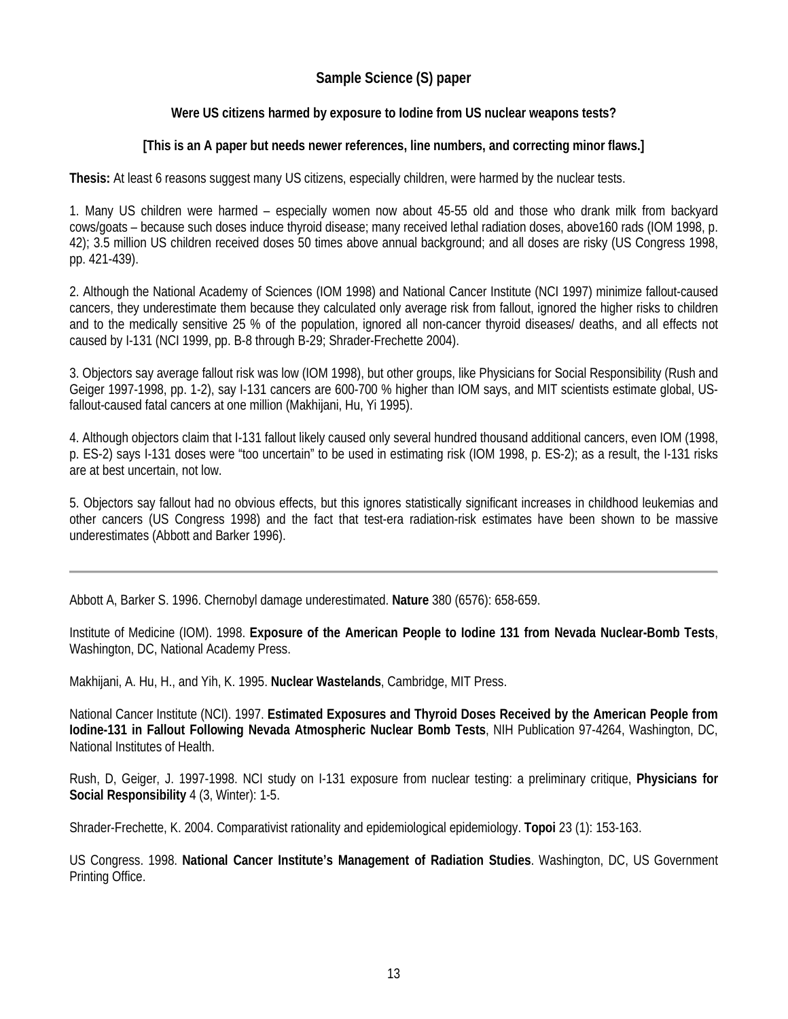# **Sample Science (S) paper**

### **Were US citizens harmed by exposure to Iodine from US nuclear weapons tests?**

### **[This is an A paper but needs newer references, line numbers, and correcting minor flaws.]**

**Thesis:** At least 6 reasons suggest many US citizens, especially children, were harmed by the nuclear tests.

1. Many US children were harmed – especially women now about 45-55 old and those who drank milk from backyard cows/goats – because such doses induce thyroid disease; many received lethal radiation doses, above160 rads (IOM 1998, p. 42); 3.5 million US children received doses 50 times above annual background; and all doses are risky (US Congress 1998, pp. 421-439).

2. Although the National Academy of Sciences (IOM 1998) and National Cancer Institute (NCI 1997) minimize fallout-caused cancers, they underestimate them because they calculated only average risk from fallout, ignored the higher risks to children and to the medically sensitive 25 % of the population, ignored all non-cancer thyroid diseases/ deaths, and all effects not caused by I-131 (NCI 1999, pp. B-8 through B-29; Shrader-Frechette 2004).

3. Objectors say average fallout risk was low (IOM 1998), but other groups, like Physicians for Social Responsibility (Rush and Geiger 1997-1998, pp. 1-2), say I-131 cancers are 600-700 % higher than IOM says, and MIT scientists estimate global, USfallout-caused fatal cancers at one million (Makhijani, Hu, Yi 1995).

4. Although objectors claim that I-131 fallout likely caused only several hundred thousand additional cancers, even IOM (1998, p. ES-2) says I-131 doses were "too uncertain" to be used in estimating risk (IOM 1998, p. ES-2); as a result, the I-131 risks are at best uncertain, not low.

5. Objectors say fallout had no obvious effects, but this ignores statistically significant increases in childhood leukemias and other cancers (US Congress 1998) and the fact that test-era radiation-risk estimates have been shown to be massive underestimates (Abbott and Barker 1996).

Abbott A, Barker S. 1996. Chernobyl damage underestimated. **Nature** 380 (6576): 658-659.

Institute of Medicine (IOM). 1998. **Exposure of the American People to Iodine 131 from Nevada Nuclear-Bomb Tests**, Washington, DC, National Academy Press.

Makhijani, A. Hu, H., and Yih, K. 1995. **Nuclear Wastelands**, Cambridge, MIT Press.

National Cancer Institute (NCI). 1997. **Estimated Exposures and Thyroid Doses Received by the American People from Iodine-131 in Fallout Following Nevada Atmospheric Nuclear Bomb Tests**, NIH Publication 97-4264, Washington, DC, National Institutes of Health.

Rush, D, Geiger, J. 1997-1998. NCI study on I-131 exposure from nuclear testing: a preliminary critique, **Physicians for Social Responsibility** 4 (3, Winter): 1-5.

Shrader-Frechette, K. 2004. Comparativist rationality and epidemiological epidemiology. **Topoi** 23 (1): 153-163.

US Congress. 1998. **National Cancer Institute's Management of Radiation Studies**. Washington, DC, US Government Printing Office.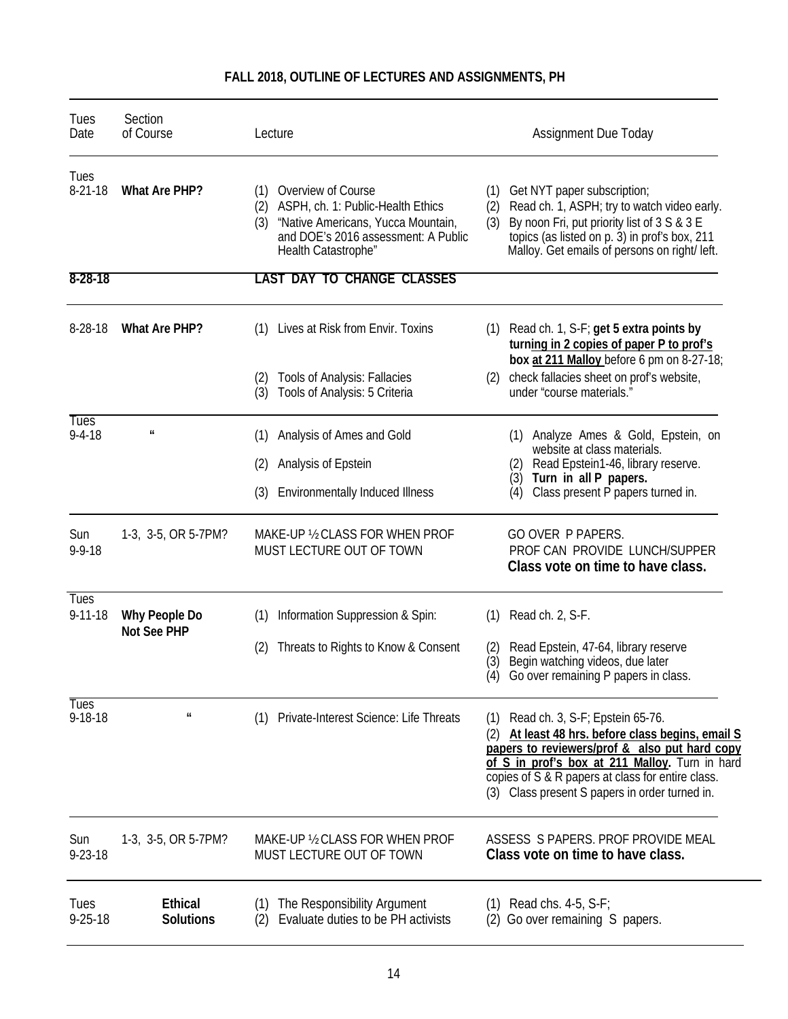| Tues<br>Date                 | Section<br>of Course               | Lecture                                                                                                                                                                          | <b>Assignment Due Today</b>                                                                                                                                                                                                                                                                              |
|------------------------------|------------------------------------|----------------------------------------------------------------------------------------------------------------------------------------------------------------------------------|----------------------------------------------------------------------------------------------------------------------------------------------------------------------------------------------------------------------------------------------------------------------------------------------------------|
| Tues<br>$8-21-18$            | <b>What Are PHP?</b>               | Overview of Course<br>(1)<br>ASPH, ch. 1: Public-Health Ethics<br>(2)<br>"Native Americans, Yucca Mountain,<br>(3)<br>and DOE's 2016 assessment: A Public<br>Health Catastrophe" | Get NYT paper subscription;<br>(1)<br>Read ch. 1, ASPH; try to watch video early.<br>(2)<br>(3)<br>By noon Fri, put priority list of 3 S & 3 E<br>topics (as listed on p. 3) in prof's box, 211<br>Malloy. Get emails of persons on right/ left.                                                         |
| $8 - 28 - 18$                |                                    | <b>LAST DAY TO CHANGE CLASSES</b>                                                                                                                                                |                                                                                                                                                                                                                                                                                                          |
| $8-28-18$                    | What Are PHP?                      | Lives at Risk from Envir. Toxins<br>(1)                                                                                                                                          | Read ch. 1, S-F; get 5 extra points by<br>(1)<br>turning in 2 copies of paper P to prof's<br>box at 211 Malloy before 6 pm on 8-27-18;                                                                                                                                                                   |
|                              |                                    | <b>Tools of Analysis: Fallacies</b><br>(2)<br>Tools of Analysis: 5 Criteria<br>(3)                                                                                               | check fallacies sheet on prof's website,<br>(2)<br>under "course materials."                                                                                                                                                                                                                             |
| <b>Tues</b><br>$9 - 4 - 18$  | $\pmb{\mathit{ii}}$                | Analysis of Ames and Gold<br>(1)                                                                                                                                                 | (1) Analyze Ames & Gold, Epstein, on                                                                                                                                                                                                                                                                     |
|                              |                                    | Analysis of Epstein<br>(2)                                                                                                                                                       | website at class materials.<br>Read Epstein1-46, library reserve.<br>(2)<br>(3) Turn in all P papers.                                                                                                                                                                                                    |
|                              |                                    | (3)<br><b>Environmentally Induced Illness</b>                                                                                                                                    | Class present P papers turned in.<br>(4)                                                                                                                                                                                                                                                                 |
| Sun<br>$9 - 9 - 18$          | 1-3, 3-5, OR 5-7PM?                | MAKE-UP 1/2 CLASS FOR WHEN PROF<br>MUST LECTURE OUT OF TOWN                                                                                                                      | <b>GO OVER P PAPERS.</b><br>PROF CAN PROVIDE LUNCH/SUPPER<br>Class vote on time to have class.                                                                                                                                                                                                           |
| Tues<br>$9 - 11 - 18$        | Why People Do                      | Information Suppression & Spin:<br>(1)                                                                                                                                           | Read ch. 2, S-F.<br>(1)                                                                                                                                                                                                                                                                                  |
|                              | Not See PHP                        | Threats to Rights to Know & Consent<br>(2)                                                                                                                                       | Read Epstein, 47-64, library reserve<br>(2)<br>Begin watching videos, due later<br>(3)<br>Go over remaining P papers in class.<br>(4)                                                                                                                                                                    |
| <b>Tues</b><br>$9 - 18 - 18$ | $\pmb{\mathit{u}}$                 | Private-Interest Science: Life Threats<br>(1)                                                                                                                                    | Read ch. 3, S-F; Epstein 65-76.<br>(1)<br>(2) At least 48 hrs. before class begins, email S<br>papers to reviewers/prof & also put hard copy<br>of S in prof's box at 211 Malloy. Turn in hard<br>copies of S & R papers at class for entire class.<br>Class present S papers in order turned in.<br>(3) |
| Sun<br>$9 - 23 - 18$         | 1-3, 3-5, OR 5-7PM?                | MAKE-UP 1/2 CLASS FOR WHEN PROF<br>MUST LECTURE OUT OF TOWN                                                                                                                      | ASSESS S PAPERS, PROF PROVIDE MEAL<br>Class vote on time to have class.                                                                                                                                                                                                                                  |
| Tues<br>$9 - 25 - 18$        | <b>Ethical</b><br><b>Solutions</b> | The Responsibility Argument<br>(1)<br>Evaluate duties to be PH activists<br>(2)                                                                                                  | Read chs. $4-5$ , S-F;<br>(1)<br>(2) Go over remaining S papers.                                                                                                                                                                                                                                         |

# **FALL 2018, OUTLINE OF LECTURES AND ASSIGNMENTS, PH**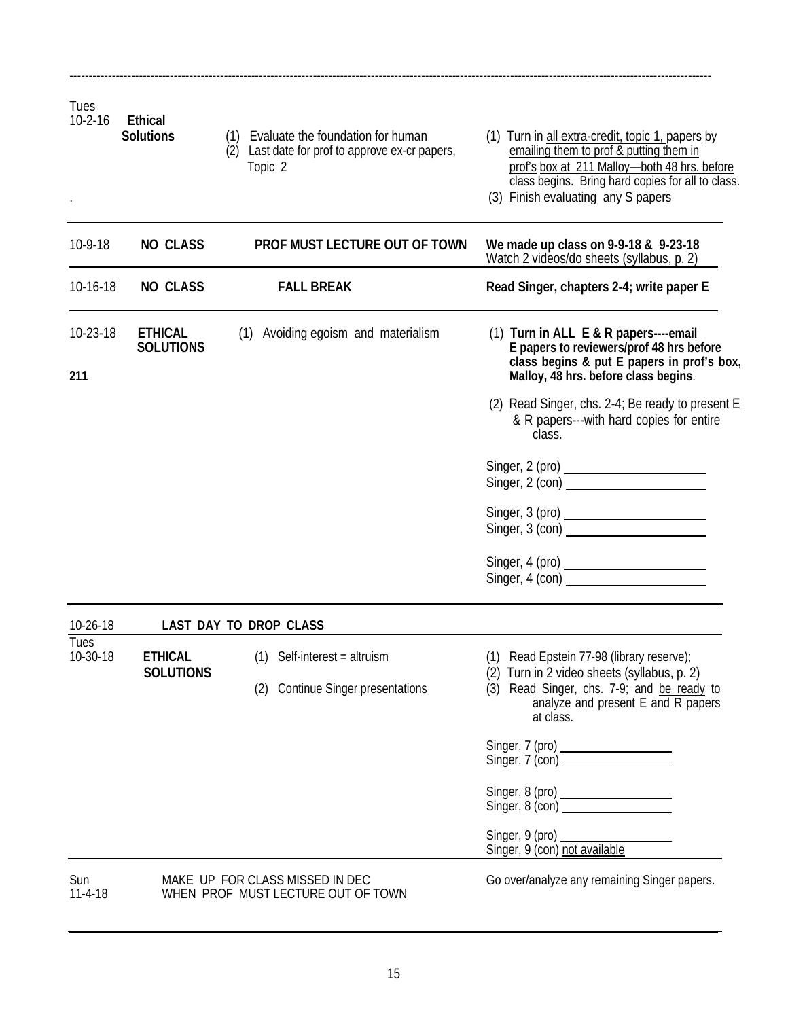| Tues<br>$10-2-16$ | <b>Ethical</b><br><b>Solutions</b> | (1) Evaluate the foundation for human<br>(2) Last date for prof to approve ex-cr papers,<br>Topic 2 | (1) Turn in all extra-credit, topic 1, papers by<br>emailing them to prof & putting them in<br>prof's box at 211 Malloy-both 48 hrs. before<br>class begins. Bring hard copies for all to class.<br>(3) Finish evaluating any S papers |
|-------------------|------------------------------------|-----------------------------------------------------------------------------------------------------|----------------------------------------------------------------------------------------------------------------------------------------------------------------------------------------------------------------------------------------|
| 10-9-18           | <b>NO CLASS</b>                    | PROF MUST LECTURE OUT OF TOWN                                                                       | We made up class on 9-9-18 & 9-23-18<br>Watch 2 videos/do sheets (syllabus, p. 2)                                                                                                                                                      |
| 10-16-18          | <b>NO CLASS</b>                    | <b>FALL BREAK</b>                                                                                   | Read Singer, chapters 2-4; write paper E                                                                                                                                                                                               |
| 10-23-18<br>211   | <b>ETHICAL</b><br><b>SOLUTIONS</b> | Avoiding egoism and materialism<br>(1)                                                              | (1) Turn in ALL E & R papers----email<br>E papers to reviewers/prof 48 hrs before<br>class begins & put E papers in prof's box,<br>Malloy, 48 hrs. before class begins.                                                                |
|                   |                                    |                                                                                                     | (2) Read Singer, chs. 2-4; Be ready to present E<br>& R papers---with hard copies for entire<br>class.                                                                                                                                 |
|                   |                                    |                                                                                                     | Singer, 2 (pro)<br>Singer, 2 (con)                                                                                                                                                                                                     |
|                   |                                    |                                                                                                     | Singer, 3 (con)                                                                                                                                                                                                                        |
|                   |                                    |                                                                                                     | Singer, $4$ (con) $\overline{\phantom{a}}$                                                                                                                                                                                             |
| 10-26-18          |                                    | LAST DAY TO DROP CLASS                                                                              |                                                                                                                                                                                                                                        |
| Tues<br>10-30-18  | <b>ETHICAL</b><br><b>SOLUTIONS</b> | $(1)$ Self-interest = altruism<br>(2) Continue Singer presentations                                 | (1) Read Epstein 77-98 (library reserve);<br>(2) Turn in 2 video sheets (syllabus, p. 2)<br>(3) Read Singer, chs. 7-9; and be ready to<br>analyze and present E and R papers<br>at class.                                              |
|                   |                                    |                                                                                                     | Singer, 7 (pro)<br>Singer, 7 (con)                                                                                                                                                                                                     |
|                   |                                    |                                                                                                     | Singer, 8 (pro)<br>Singer, 8 (con)                                                                                                                                                                                                     |
|                   |                                    |                                                                                                     | Singer, 9 (pro)<br>Singer, 9 (con) not available                                                                                                                                                                                       |
| Sun<br>$11-4-18$  |                                    | MAKE UP FOR CLASS MISSED IN DEC<br>WHEN PROF MUST LECTURE OUT OF TOWN                               | Go over/analyze any remaining Singer papers.                                                                                                                                                                                           |